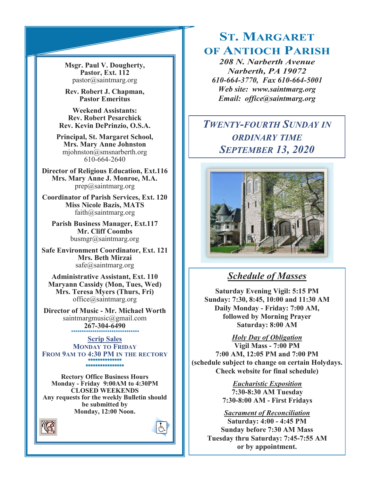**Msgr. Paul V. Dougherty, Pastor, Ext. 112** pastor@saintmarg.org

**Rev. Robert J. Chapman, Pastor Emeritus**

**Weekend Assistants: Rev. Robert Pesarchick Rev. Kevin DePrinzio, O.S.A.**

**Principal, St. Margaret School, Mrs. Mary Anne Johnston**  mjohnston@smsnarberth.org 610-664-2640

**Director of Religious Education, Ext.116 Mrs. Mary Anne J. Monroe, M.A.** prep@saintmarg.org

**Coordinator of Parish Services, Ext. 120 Miss Nicole Bazis, MATS** faith@saintmarg.org

**Parish Business Manager, Ext.117 Mr. Cliff Coombs** busmgr@saintmarg.org

**Safe Environment Coordinator, Ext. 121 Mrs. Beth Mirzai** safe@saintmarg.org

**Administrative Assistant, Ext. 110 Maryann Cassidy (Mon, Tues, Wed) Mrs. Teresa Myers (Thurs, Fri)** office@saintmarg.org

**Director of Music - Mr. Michael Worth** saintmargmusic@gmail.com **267-304-6490** *\*\*\*\*\*\*\*\*\*\*\*\*\*\*\*\*\*\*\*\*\*\*\*\*\*\*\*\*\*\*\*\**

**Scrip Sales MONDAY TO FRIDAY FROM 9AM TO 4:30 PM IN THE RECTORY \*\*\*\*\*\*\*\*\*\*\*\*\*\* \*\*\*\*\*\*\*\*\*\*\*\*\*\*\*\*** 

**Rectory Office Business Hours Monday - Friday 9:00AM to 4:30PM CLOSED WEEKENDS Any requests for the weekly Bulletin should be submitted by Monday, 12:00 Noon.** 



# **ST. MARGARET OF ANTIOCH PARISH**

*208 N. Narberth Avenue Narberth, PA 19072 610-664-3770, Fax 610-664-5001 Web site: www.saintmarg.org Email: office@saintmarg.org*

## *TWENTY-FOURTH SUNDAY IN ORDINARY TIME SEPTEMBER 13, 2020*



## *Schedule of Masses*

**Saturday Evening Vigil: 5:15 PM Sunday: 7:30, 8:45, 10:00 and 11:30 AM Daily Monday - Friday: 7:00 AM, followed by Morning Prayer Saturday: 8:00 AM**

*Holy Day of Obligation*

**Vigil Mass - 7:00 PM 7:00 AM, 12:05 PM and 7:00 PM (schedule subject to change on certain Holydays. Check website for final schedule)**

> *Eucharistic Exposition*  **7:30-8:30 AM Tuesday 7:30-8:00 AM - First Fridays**

*Sacrament of Reconciliation* **Saturday: 4:00 - 4:45 PM Sunday before 7:30 AM Mass Tuesday thru Saturday: 7:45-7:55 AM or by appointment.**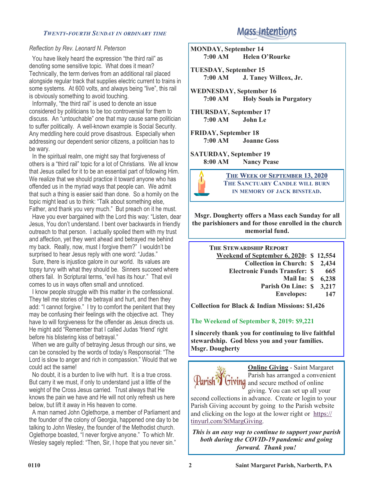#### *TWENTY-FOURTH SUNDAY IN ORDINARY TIME*

#### *Reflection by Rev. Leonard N. Peterson*

 You have likely heard the expression "the third rail" as denoting some sensitive topic. What does it mean? Technically, the term derives from an additional rail placed alongside regular track that supplies electric current to trains in some systems. At 600 volts, and always being "live", this rail is obviously something to avoid touching.

 Informally, "the third rail" is used to denote an issue considered by politicians to be too controversial for them to discuss. An "untouchable" one that may cause same politician to suffer politically. A well-known example is Social Security. Any meddling here could prove disastrous. Especially when addressing our dependent senior citizens, a politician has to be wary.

 In the spiritual realm, one might say that forgiveness of others is a "third rail" topic for a lot of Christians. We all know that Jesus called for it to be an essential part of following Him. We realize that we should practice it toward anyone who has offended us in the myriad ways that people can. We admit that such a thing is easier said than done. So a homily on the topic might lead us to think: "Talk about something else, Father, and thank you very much." But preach on it he must.

 Have you ever bargained with the Lord this way: "Listen, dear Jesus, You don't understand. I bent over backwards in friendly outreach to that person. I actually spoiled them with my trust and affection, yet they went ahead and betrayed me behind my back. Really, now, must I forgive them?" I wouldn't be surprised to hear Jesus reply with one word: "Judas."

 Sure, there is injustice galore in our world. Its values are topsy turvy with what they should be. Sinners succeed where others fail. In Scriptural terms, "evil has its hour." That evil comes to us in ways often small and unnoticed.

 I know people struggle with this matter in the confessional. They tell me stories of the betrayal and hurt, and then they add: "I cannot forgive." I try to comfort the penitent that they may be confusing their feelings with the objective act. They have to will forgiveness for the offender as Jesus directs us. He might add "Remember that I called Judas 'friend' right before his blistering kiss of betrayal."

 When we are guilty of betraying Jesus through our sins, we can be consoled by the words of today's Responsorial: "The Lord is slow to anger and rich in compassion." Would that we could act the same!

 No doubt, it is a burden to live with hurt. It is a true cross. But carry it we must, if only to understand just a little of the weight of the Cross Jesus carried. Trust always that He knows the pain we have and He will not only refresh us here below, but lift it away in His heaven to come.

 A man named John Oglethorpe, a member of Parliament and the founder of the colony of Georgia, happened one day to be talking to John Wesley, the founder of the Methodist church. Oglethorpe boasted, "I never forgive anyone." To which Mr. Wesley sagely replied: "Then, Sir, I hope that you never sin."

## **Mass Intentions**

**MONDAY, September 14 7:00 AM Helen O'Rourke**

**TUESDAY, September 15 7:00 AM J. Taney Willcox, Jr.**

**WEDNESDAY, September 16 7:00 AM Holy Souls in Purgatory**

**THURSDAY, September 17 7:00 AM John Le**

**FRIDAY, September 18 Joanne Goss** 

**SATURDAY, September 19 8:00 AM Nancy Pease**



**THE WEEK OF SEPTEMBER 13, 2020 THE SANCTUARY CANDLE WILL BURN IN MEMORY OF JACK BINSTEAD.**

**Msgr. Dougherty offers a Mass each Sunday for all the parishioners and for those enrolled in the church memorial fund.**

> **THE STEWARDSHIP REPORT Weekend of September 6, 2020: \$ 12,554 Collection in Church: \$ 2,434 Electronic Funds Transfer: Mail In: \$ 6,238 Parish On Line: Envelopes: \$ 665 \$ 3,217 147**

**Collection for Black & Indian Missions: \$1,426**

#### **The Weekend of September 8, 2019: \$9,221**

**I sincerely thank you for continuing to live faithful stewardship. God bless you and your families. Msgr. Dougherty**



**Online Giving** - Saint Margaret Parish has arranged a convenient Parish<sup>7</sup> Giving and secure method of online giving. You can set up all your

second collections in advance. Create or login to your Parish Giving account by going to the Parish website and clicking on the logo at the lower right or [https://](https://tinyurl.com/StMargGiving) [tinyurl.com/StMargGiving.](https://tinyurl.com/StMargGiving)

*This is an easy way to continue to support your parish both during the COVID-19 pandemic and going forward. Thank you!*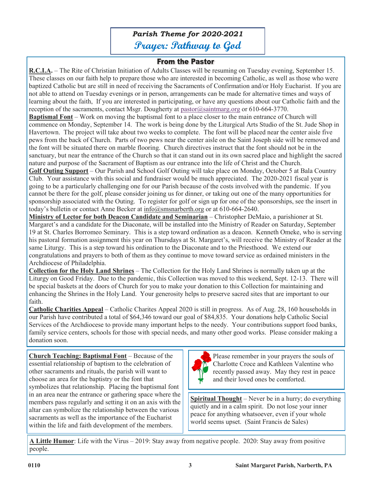*Parish Theme for 2020-2021* **Prayer: Pathway to God**

## **From the Pastor**

**R.C.I.A.** – The Rite of Christian Initiation of Adults Classes will be resuming on Tuesday evening, September 15. These classes on our faith help to prepare those who are interested in becoming Catholic, as well as those who were baptized Catholic but are still in need of receiving the Sacraments of Confirmation and/or Holy Eucharist. If you are not able to attend on Tuesday evenings or in person, arrangements can be made for alternative times and ways of learning about the faith, If you are interested in participating, or have any questions about our Catholic faith and the reception of the sacraments, contact Msgr. Dougherty at [pastor@saintmarg.org](mailto:pastor@saintmarg.org) or 610-664-3770. **Baptismal Font** – Work on moving the baptismal font to a place closer to the main entrance of Church will commence on Monday, September 14. The work is being done by the Liturgical Arts Studio of the St. Jude Shop in Havertown. The project will take about two weeks to complete. The font will be placed near the center aisle five pews from the back of Church. Parts of two pews near the center aisle on the Saint Joseph side will be removed and the font will be situated there on marble flooring. Church directives instruct that the font should not be in the sanctuary, but near the entrance of the Church so that it can stand out in its own sacred place and highlight the sacred nature and purpose of the Sacrament of Baptism as our entrance into the life of Christ and the Church.

**Golf Outing Support** – Our Parish and School Golf Outing will take place on Monday, October 5 at Bala Country Club. Your assistance with this social and fundraiser would be much appreciated. The 2020-2021 fiscal year is going to be a particularly challenging one for our Parish because of the costs involved with the pandemic. If you cannot be there for the golf, please consider joining us for dinner, or taking out one of the many opportunities for sponsorship associated with the Outing. To register for golf or sign up for one of the sponsorships, see the insert in today's bulletin or contact Anne Becker at info@smsnarberth.org or at 610-664-2640.

**Ministry of Lector for both Deacon Candidate and Seminarian** – Christopher DeMaio, a parishioner at St. Margaret's and a candidate for the Diaconate, will be installed into the Ministry of Reader on Saturday, September 19 at St. Charles Borromeo Seminary. This is a step toward ordination as a deacon. Kenneth Omeke, who is serving his pastoral formation assignment this year on Thursdays at St. Margaret's, will receive the Ministry of Reader at the same Liturgy. This is a step toward his ordination to the Diaconate and to the Priesthood. We extend our congratulations and prayers to both of them as they continue to move toward service as ordained ministers in the Archdiocese of Philadelphia.

**Collection for the Holy Land Shrines** – The Collection for the Holy Land Shrines is normally taken up at the Liturgy on Good Friday. Due to the pandemic, this Collection was moved to this weekend, Sept. 12-13. There will be special baskets at the doors of Church for you to make your donation to this Collection for maintaining and enhancing the Shrines in the Holy Land. Your generosity helps to preserve sacred sites that are important to our faith.

**Catholic Charities Appeal** – Catholic Charites Appeal 2020 is still in progress. As of Aug. 28, 160 households in our Parish have contributed a total of \$64,346 toward our goal of \$84,835. Your donations help Catholic Social Services of the Archdiocese to provide many important helps to the needy. Your contributions support food banks, family service centers, schools for those with special needs, and many other good works. Please consider making a donation soon.

**Church Teaching: Baptismal Font** – Because of the essential relationship of baptism to the celebration of other sacraments and rituals, the parish will want to choose an area for the baptistry or the font that symbolizes that relationship. Placing the baptismal font in an area near the entrance or gathering space where the members pass regularly and setting it on an axis with the altar can symbolize the relationship between the various sacraments as well as the importance of the Eucharist within the life and faith development of the members.



Please remember in your prayers the souls of Charlotte Croce and Kathleen Valentine who recently passed away. May they rest in peace and their loved ones be comforted.

**Spiritual Thought** – Never be in a hurry; do everything quietly and in a calm spirit. Do not lose your inner peace for anything whatsoever, even if your whole world seems upset. (Saint Francis de Sales)

**A Little Humor**: Life with the Virus – 2019: Stay away from negative people. 2020: Stay away from positive people.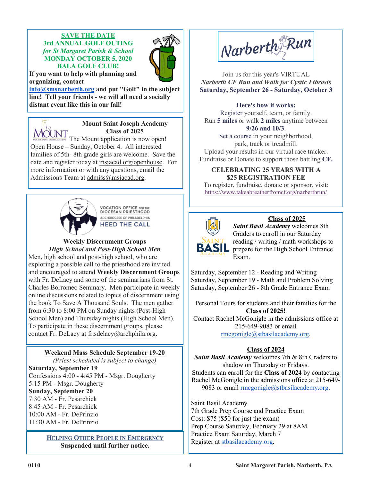### **SAVE THE DATE 3rd ANNUAL GOLF OUTING** *for St Margaret Parish & School* **MONDAY OCTOBER 5, 2020 BALA GOLF CLUB!**



**If you want to help with planning and organizing, contact** 

**[info@smsnarberth.org](mailto:info@smsnarberth.org) and put "Golf" in the subject line! Tell your friends - we will all need a socially distant event like this in our fall!**



#### **Mount Saint Joseph Academy Class of 2025**

The Mount application is now open! Open House – Sunday, October 4. All interested families of 5th- 8th grade girls are welcome. Save the date and register today at msjacad.org/openhouse. For more information or with any questions, email the Admissions Team at admiss@msjacad.org.



**VOCATION OFFICE FOR THE** DIOCESAN PRIESTHOOD ARCHDIOCESE OF PHILADELPHIA **HEED THE CALL** 

**Weekly Discernment Groups** *High School and Post-High School Men* Men, high school and post-high school, who are exploring a possible call to the priesthood are invited and encouraged to attend **Weekly Discernment Groups** with Fr. DeLacy and some of the seminarians from St. Charles Borromeo Seminary. Men participate in weekly online discussions related to topics of discernment using the book To Save A Thousand Souls. The men gather from 6:30 to 8:00 PM on Sunday nights (Post-High School Men) and Thursday nights (High School Men). To participate in these discernment groups, please contact Fr. DeLacy at fr.sdelacy@archphila.org.

## **Weekend Mass Schedule September 19-20**

*(Priest scheduled is subject to change)* **Saturday, September 19** Confessions 4:00 - 4:45 PM - Msgr. Dougherty 5:15 PM - Msgr. Dougherty **Sunday, September 20** 7:30 AM - Fr. Pesarchick 8:45 AM - Fr. Pesarchick 10:00 AM - Fr. DePrinzio 11:30 AM - Fr. DePrinzio

> **HELPING OTHER PEOPLE IN EMERGENCY Suspended until further notice.**



Join us for this year's VIRTUAL *Narberth CF Run and Walk for Cystic Fibrosis* **Saturday, September 26 - Saturday, October 3**

### **Here's how it works:**

[Register](http://r20.rs6.net/tn.jsp?f=001zr-WDVdAP7omKAU2P-wHJ76K4Ri4_2WU7FFlgYXBGza9BtZjMyJF1JKi0zv9cGHD0Rd0s63HfrUmVf2fYM_8CQFBGHGjufAgDVm0wKh98SdJPaKZsrUnetTfp8oTnjreOb9GtSHSCKVHdD412ZMrfWxvtflAWTh5GlHyLwsMuKfh3ljmVMV8aqVd7gJzpMd8NHyUCPi928s=&c=6BGhst7lYVpzhwVz9QrUb) yourself, team, or family. Run **5 miles** or walk **2 miles** anytime between **9/26 and 10/3**.

Set a course in your neighborhood, park, track or treadmill. Upload your results in our virtual race track[er.](http://r20.rs6.net/tn.jsp?f=001zr-WDVdAP7omKAU2P-wHJ76K4Ri4_2WU7FFlgYXBGza9BtZjMyJF1JKi0zv9cGHDZKZGaJ3mrSOojZ2CC0aNZA2YMkYaZn4Wngoaeu7Xj997AYmZ-nC8WWUZ4fWL4gDmtcKAlbLiGsGP-IIbC-zjxU7zdL0uTQgx2RHWpvrGjcLJbtHiIhgoEw==&c=6BGhst7lYVpzhwVz9QrUbgzW3VQqeMbAoD9Q2_GmM) [Fundraise or Donate](http://r20.rs6.net/tn.jsp?f=001zr-WDVdAP7omKAU2P-wHJ76K4Ri4_2WU7FFlgYXBGza9BtZjMyJF1JKi0zv9cGHDZKZGaJ3mrSOojZ2CC0aNZA2YMkYaZn4Wngoaeu7Xj997AYmZ-nC8WWUZ4fWL4gDmtcKAlbLiGsGP-IIbC-zjxU7zdL0uTQgx2RHWpvrGjcLJbtHiIhgoEw==&c=6BGhst7lYVpzhwVz9QrUbgzW3VQqeMbAoD9Q2_GmM) to support those battling **CF.**

### **CELEBRATING 25 YEARS WITH A \$25 REGISTRATION FEE**

To register, fundraise, donate or sponsor, visit: <https://www.takeabreatherfromcf.org/narberthrun/>



## **Class of 2025**

*Saint Basil Academy* welcomes 8th Graders to enroll in our Saturday reading / writing / math workshops to prepare for the High School Entrance Exam.

Saturday, September 12 - Reading and Writing Saturday, September 19 - Math and Problem Solving Saturday, September 26 - 8th Grade Entrance Exam

Personal Tours for students and their families for the **Class of 2025!**

Contact Rachel McGonigle in the admissions office at 215-649-9083 or email [rmcgonigle@stbasilacademy.org.](mailto:rmcgonigle@stbasilacademy.org)

## **Class of 2024**

**Saint Basil Academy** welcomes 7th & 8th Graders to shadow on Thursday or Fridays. Students can enroll for the **Class of 2024** by contacting Rachel McGonigle in the admissions office at 215-649 9083 or email [rmcgonigle@stbasilacademy.org.](mailto:rmcgonigle@stbasilacademy.org)

Saint Basil Academy 7th Grade Prep Course and Practice Exam Cost: \$75 (\$50 for just the exam) Prep Course Saturday, February 29 at 8AM Practice Exam Saturday, March 7 Register at [stbasilacademy.org.](http://stbasilacademy.org/)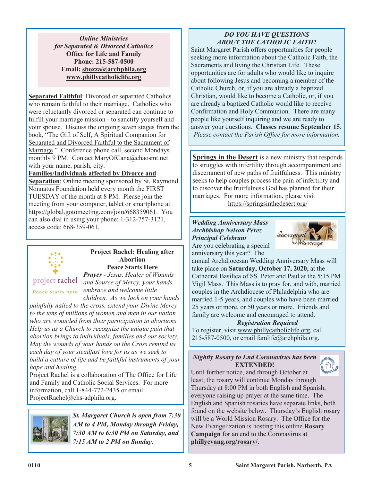*Online Ministries for Separated & Divorced Catholics* **Office for Life and Family Phone: 215-587-0500 Email: sbozza@archphila.org www.phillycatholiclife.org**

**Separated Faithful:** Divorced or separated Catholics who remain faithful to their marriage. Catholics who were reluctantly divorced or separated can continue to fulfill your marriage mission - to sanctify yourself and your spouse. Discuss the ongoing seven stages from the book, "The Gift of Self, A Spiritual Companion for Separated and Divorced Faithful to the Sacrament of Marriage." Conference phone call, second Mondays monthly 9 PM. Contact MaryOfCana@chaosmt.net with your name, parish, city.

## **Families/Individuals affected by Divorce and**

**Separation**: Online meeting sponsored by St. Raymond Nonnatus Foundation held every month the FIRST TUESDAY of the month at 8 PM. Please join the meeting from your computer, tablet or smartphone at https://global.gotomeeting.com/join/668359061. You can also dial in using your phone: 1-312-757-3121, access code: 668-359-061.



#### **Project Rachel: Healing after Abortion Peace Starts Here**

project rachel

*Prayer - Jesus, Healer of Wounds and Source of Mercy, your hands embrace and welcome little children. As we look on your hands* 

*painfully nailed to the cross, extend your Divine Mercy to the tens of millions of women and men in our nation who are wounded from their participation in abortions. Help us as a Church to recognize the unique pain that abortion brings to individuals, families and our society. May the wounds of your hands on the Cross remind us each day of your steadfast love for us as we seek to build a culture of life and be faithful instruments of your hope and healing*.

Project Rachel is a collaboration of The Office for Life and Family and Catholic Social Services. For more information, call 1-844-772-2435 or email ProjectRachel@chs-adphila.org.



*St. Margaret Church is open from 7:30 AM to 4 PM, Monday through Friday, 7:30 AM to 6:30 PM on Saturday, and 7:15 AM to 2 PM on Sunday*.

## *DO YOU HAVE QUESTIONS ABOUT THE CATHOLIC FAITH***?**

Saint Margaret Parish offers opportunities for people seeking more information about the Catholic Faith, the Sacraments and living the Christian Life. These opportunities are for adults who would like to inquire about following Jesus and becoming a member of the Catholic Church, or, if you are already a baptized Christian, would like to become a Catholic, or, if you are already a baptized Catholic would like to receive Confirmation and Holy Communion. There are many people like yourself inquiring and we are ready to answer your questions. **Classes resume September 15**. *Please contact the Parish Office for more information.*

**Springs in the Desert** is a new ministry that responds to struggles with infertility through accompaniment and discernment of new paths of fruitfulness. This ministry seeks to help couples process the pain of infertility and to discover the fruitfulness God has planned for their marriages. For more information, please visit https://springsinthedesert.org/

*Wedding Anniversary Mass Archbishop Nelson Pérez Principal Celebrant* Are you celebrating a special



anniversary this year? The annual Archdiocesan Wedding Anniversary Mass will take place on **Saturday, October 17, 2020,** at the Cathedral Basilica of SS. Peter and Paul at the 5:15 PM Vigil Mass. This Mass is to pray for, and with, married couples in the Archdiocese of Philadelphia who are married 1-5 years, and couples who have been married 25 years or more, or 50 years or more. Friends and family are welcome and encouraged to attend.

## *Registration Required*

To register, visit www.phillycatholiclife.org, call 215-587-0500, or email famlife@archphila.org.

## *Nightly Rosary to End Coronavirus has been*  **EXTENDED!**



Until further notice, and through October at least, the rosary will continue Monday through Thursday at 8:00 PM in both English and Spanish, everyone raising up prayer at the same time. The English and Spanish rosaries have separate links, both found on the website below. Thursday's English rosary will be a World Mission Rosary. The Office for the New Evangelization is hosting this online **Rosary Campaign** for an end to the Coronavirus at **phillyevang.org/rosary/**.